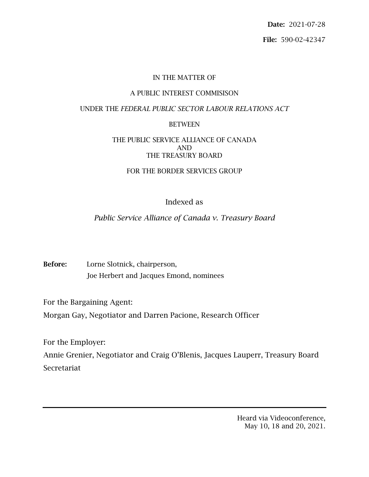Date: 2021-07-28 File: 590-02-42347

#### IN THE MATTER OF

#### A PUBLIC INTEREST COMMISISON

#### UNDER THE *FEDERAL PUBLIC SECTOR LABOUR RELATIONS ACT*

#### BETWEEN

#### THE PUBLIC SERVICE ALLIANCE OF CANADA AND THE TREASURY BOARD

#### FOR THE BORDER SERVICES GROUP

# Indexed as

# *Public Service Alliance of Canada v. Treasury Board*

Before: Lorne Slotnick, chairperson, Joe Herbert and Jacques Emond, nominees

For the Bargaining Agent:

Morgan Gay, Negotiator and Darren Pacione, Research Officer

For the Employer:

Annie Grenier, Negotiator and Craig O'Blenis, Jacques Lauperr, Treasury Board Secretariat

> Heard via Videoconference, May 10, 18 and 20, 2021.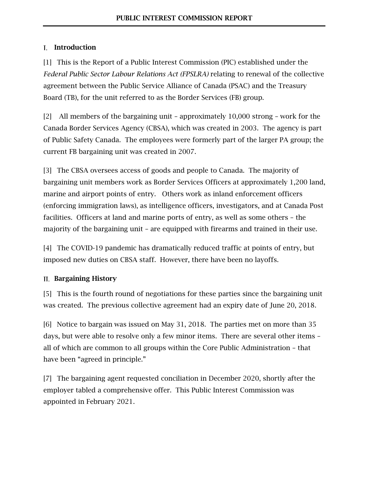## I. Introduction

[1] This is the Report of a Public Interest Commission (PIC) established under the *Federal Public Sector Labour Relations Act (FPSLRA)* relating to renewal of the collective agreement between the Public Service Alliance of Canada (PSAC) and the Treasury Board (TB), for the unit referred to as the Border Services (FB) group.

[2] All members of the bargaining unit – approximately 10,000 strong – work for the Canada Border Services Agency (CBSA), which was created in 2003. The agency is part of Public Safety Canada. The employees were formerly part of the larger PA group; the current FB bargaining unit was created in 2007.

[3] The CBSA oversees access of goods and people to Canada. The majority of bargaining unit members work as Border Services Officers at approximately 1,200 land, marine and airport points of entry. Others work as inland enforcement officers (enforcing immigration laws), as intelligence officers, investigators, and at Canada Post facilities. Officers at land and marine ports of entry, as well as some others – the majority of the bargaining unit – are equipped with firearms and trained in their use.

[4] The COVID-19 pandemic has dramatically reduced traffic at points of entry, but imposed new duties on CBSA staff. However, there have been no layoffs.

## II. Bargaining History

[5] This is the fourth round of negotiations for these parties since the bargaining unit was created. The previous collective agreement had an expiry date of June 20, 2018.

[6] Notice to bargain was issued on May 31, 2018. The parties met on more than 35 days, but were able to resolve only a few minor items. There are several other items – all of which are common to all groups within the Core Public Administration – that have been "agreed in principle."

[7] The bargaining agent requested conciliation in December 2020, shortly after the employer tabled a comprehensive offer. This Public Interest Commission was appointed in February 2021.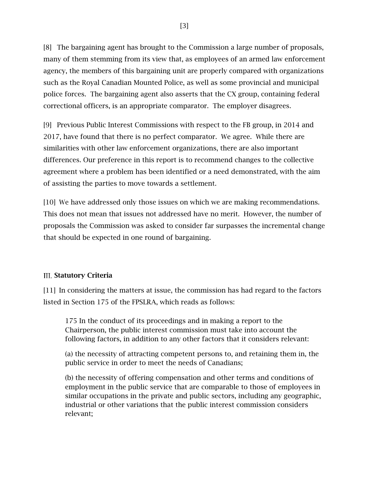[8] The bargaining agent has brought to the Commission a large number of proposals, many of them stemming from its view that, as employees of an armed law enforcement agency, the members of this bargaining unit are properly compared with organizations such as the Royal Canadian Mounted Police, as well as some provincial and municipal police forces. The bargaining agent also asserts that the CX group, containing federal correctional officers, is an appropriate comparator. The employer disagrees.

[9] Previous Public Interest Commissions with respect to the FB group, in 2014 and 2017, have found that there is no perfect comparator. We agree. While there are similarities with other law enforcement organizations, there are also important differences. Our preference in this report is to recommend changes to the collective agreement where a problem has been identified or a need demonstrated, with the aim of assisting the parties to move towards a settlement.

[10] We have addressed only those issues on which we are making recommendations. This does not mean that issues not addressed have no merit. However, the number of proposals the Commission was asked to consider far surpasses the incremental change that should be expected in one round of bargaining.

## **III. Statutory Criteria**

[11] In considering the matters at issue, the commission has had regard to the factors listed in Section 175 of the FPSLRA, which reads as follows:

175 In the conduct of its proceedings and in making a report to the Chairperson, the public interest commission must take into account the following factors, in addition to any other factors that it considers relevant:

(a) the necessity of attracting competent persons to, and retaining them in, the public service in order to meet the needs of Canadians;

(b) the necessity of offering compensation and other terms and conditions of employment in the public service that are comparable to those of employees in similar occupations in the private and public sectors, including any geographic, industrial or other variations that the public interest commission considers relevant;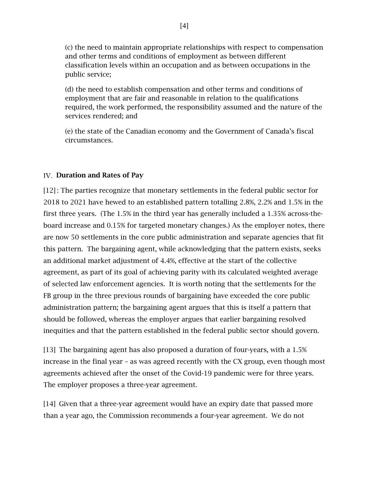(c) the need to maintain appropriate relationships with respect to compensation and other terms and conditions of employment as between different classification levels within an occupation and as between occupations in the public service;

(d) the need to establish compensation and other terms and conditions of employment that are fair and reasonable in relation to the qualifications required, the work performed, the responsibility assumed and the nature of the services rendered; and

(e) the state of the Canadian economy and the Government of Canada's fiscal circumstances.

# IV. Duration and Rates of Pay

[12] : The parties recognize that monetary settlements in the federal public sector for 2018 to 2021 have hewed to an established pattern totalling 2.8%, 2.2% and 1.5% in the first three years. (The 1.5% in the third year has generally included a 1.35% across-theboard increase and 0.15% for targeted monetary changes.) As the employer notes, there are now 50 settlements in the core public administration and separate agencies that fit this pattern. The bargaining agent, while acknowledging that the pattern exists, seeks an additional market adjustment of 4.4%, effective at the start of the collective agreement, as part of its goal of achieving parity with its calculated weighted average of selected law enforcement agencies. It is worth noting that the settlements for the FB group in the three previous rounds of bargaining have exceeded the core public administration pattern; the bargaining agent argues that this is itself a pattern that should be followed, whereas the employer argues that earlier bargaining resolved inequities and that the pattern established in the federal public sector should govern.

[13] The bargaining agent has also proposed a duration of four-years, with a 1.5% increase in the final year – as was agreed recently with the CX group, even though most agreements achieved after the onset of the Covid-19 pandemic were for three years. The employer proposes a three-year agreement.

[14] Given that a three-year agreement would have an expiry date that passed more than a year ago, the Commission recommends a four-year agreement. We do not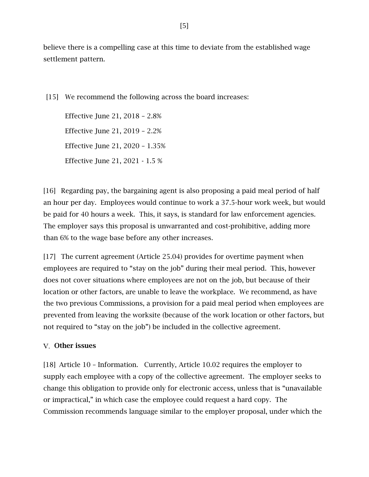believe there is a compelling case at this time to deviate from the established wage settlement pattern.

[15] We recommend the following across the board increases:

Effective June 21, 2018 – 2.8% Effective June 21, 2019 – 2.2% Effective June 21, 2020 – 1.35% Effective June 21, 2021 - 1.5 %

[16] Regarding pay, the bargaining agent is also proposing a paid meal period of half an hour per day. Employees would continue to work a 37.5-hour work week, but would be paid for 40 hours a week. This, it says, is standard for law enforcement agencies. The employer says this proposal is unwarranted and cost-prohibitive, adding more than 6% to the wage base before any other increases.

[17] The current agreement (Article 25.04) provides for overtime payment when employees are required to "stay on the job" during their meal period. This, however does not cover situations where employees are not on the job, but because of their location or other factors, are unable to leave the workplace. We recommend, as have the two previous Commissions, a provision for a paid meal period when employees are prevented from leaving the worksite (because of the work location or other factors, but not required to "stay on the job") be included in the collective agreement.

## V. Other issues

[18] Article 10 – Information. Currently, Article 10.02 requires the employer to supply each employee with a copy of the collective agreement. The employer seeks to change this obligation to provide only for electronic access, unless that is "unavailable or impractical," in which case the employee could request a hard copy. The Commission recommends language similar to the employer proposal, under which the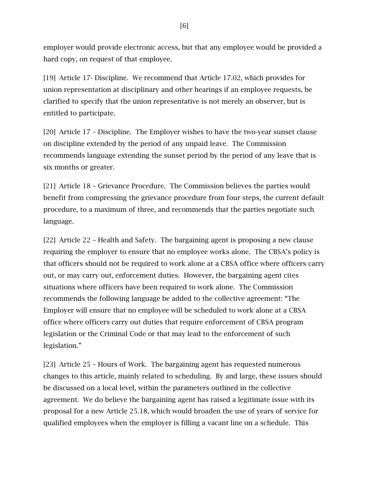employer would provide electronic access, but that any employee would be provided a hard copy, on request of that employee.

[19] Article 17- Discipline. We recommend that Article 17.02, which provides for union representation at disciplinary and other hearings if an employee requests, be clarified to specify that the union representative is not merely an observer, but is entitled to participate.

[20] Article 17 – Discipline. The Employer wishes to have the two-year sunset clause on discipline extended by the period of any unpaid leave. The Commission recommends language extending the sunset period by the period of any leave that is six months or greater.

[21] Article 18 – Grievance Procedure. The Commission believes the parties would benefit from compressing the grievance procedure from four steps, the current default procedure, to a maximum of three, and recommends that the parties negotiate such language.

[22] Article 22 – Health and Safety. The bargaining agent is proposing a new clause requiring the employer to ensure that no employee works alone. The CBSA's policy is that officers should not be required to work alone at a CBSA office where officers carry out, or may carry out, enforcement duties. However, the bargaining agent cites situations where officers have been required to work alone. The Commission recommends the following language be added to the collective agreement: "The Employer will ensure that no employee will be scheduled to work alone at a CBSA office where officers carry out duties that require enforcement of CBSA program legislation or the Criminal Code or that may lead to the enforcement of such legislation."

[23] Article 25 – Hours of Work. The bargaining agent has requested numerous changes to this article, mainly related to scheduling. By and large, these issues should be discussed on a local level, within the parameters outlined in the collective agreement. We do believe the bargaining agent has raised a legitimate issue with its proposal for a new Article 25.18, which would broaden the use of years of service for qualified employees when the employer is filling a vacant line on a schedule. This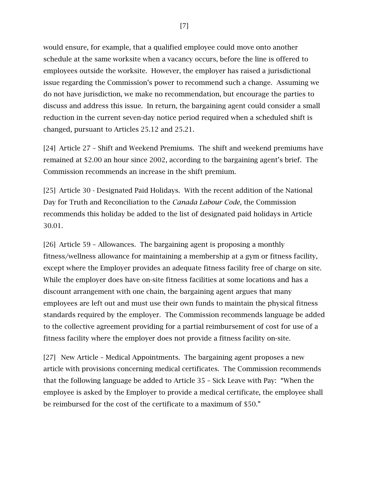would ensure, for example, that a qualified employee could move onto another schedule at the same worksite when a vacancy occurs, before the line is offered to employees outside the worksite. However, the employer has raised a jurisdictional issue regarding the Commission's power to recommend such a change. Assuming we do not have jurisdiction, we make no recommendation, but encourage the parties to discuss and address this issue. In return, the bargaining agent could consider a small reduction in the current seven-day notice period required when a scheduled shift is changed, pursuant to Articles 25.12 and 25.21.

[24] Article 27 – Shift and Weekend Premiums. The shift and weekend premiums have remained at \$2.00 an hour since 2002, according to the bargaining agent's brief. The Commission recommends an increase in the shift premium.

[25] Article 30 - Designated Paid Holidays. With the recent addition of the National Day for Truth and Reconciliation to the *Canada Labour Code,* the Commission recommends this holiday be added to the list of designated paid holidays in Article 30.01.

[26] Article 59 – Allowances. The bargaining agent is proposing a monthly fitness/wellness allowance for maintaining a membership at a gym or fitness facility, except where the Employer provides an adequate fitness facility free of charge on site. While the employer does have on-site fitness facilities at some locations and has a discount arrangement with one chain, the bargaining agent argues that many employees are left out and must use their own funds to maintain the physical fitness standards required by the employer. The Commission recommends language be added to the collective agreement providing for a partial reimbursement of cost for use of a fitness facility where the employer does not provide a fitness facility on-site.

[27] New Article – Medical Appointments. The bargaining agent proposes a new article with provisions concerning medical certificates. The Commission recommends that the following language be added to Article 35 – Sick Leave with Pay: "When the employee is asked by the Employer to provide a medical certificate, the employee shall be reimbursed for the cost of the certificate to a maximum of \$50."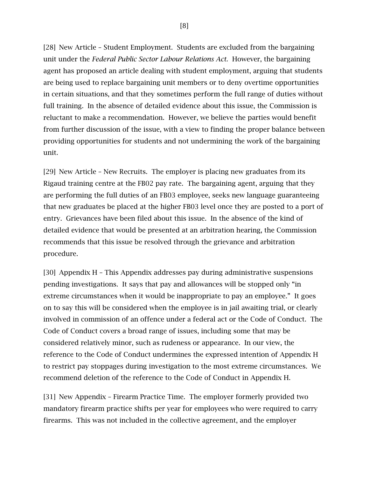[28] New Article – Student Employment. Students are excluded from the bargaining unit under the *Federal Public Sector Labour Relations Act.* However, the bargaining agent has proposed an article dealing with student employment, arguing that students are being used to replace bargaining unit members or to deny overtime opportunities in certain situations, and that they sometimes perform the full range of duties without full training. In the absence of detailed evidence about this issue, the Commission is reluctant to make a recommendation. However, we believe the parties would benefit from further discussion of the issue, with a view to finding the proper balance between providing opportunities for students and not undermining the work of the bargaining unit.

[29] New Article – New Recruits. The employer is placing new graduates from its Rigaud training centre at the FB02 pay rate. The bargaining agent, arguing that they are performing the full duties of an FB03 employee, seeks new language guaranteeing that new graduates be placed at the higher FB03 level once they are posted to a port of entry. Grievances have been filed about this issue. In the absence of the kind of detailed evidence that would be presented at an arbitration hearing, the Commission recommends that this issue be resolved through the grievance and arbitration procedure.

[30] Appendix H – This Appendix addresses pay during administrative suspensions pending investigations. It says that pay and allowances will be stopped only "in extreme circumstances when it would be inappropriate to pay an employee." It goes on to say this will be considered when the employee is in jail awaiting trial, or clearly involved in commission of an offence under a federal act or the Code of Conduct. The Code of Conduct covers a broad range of issues, including some that may be considered relatively minor, such as rudeness or appearance. In our view, the reference to the Code of Conduct undermines the expressed intention of Appendix H to restrict pay stoppages during investigation to the most extreme circumstances. We recommend deletion of the reference to the Code of Conduct in Appendix H.

[31] New Appendix – Firearm Practice Time. The employer formerly provided two mandatory firearm practice shifts per year for employees who were required to carry firearms. This was not included in the collective agreement, and the employer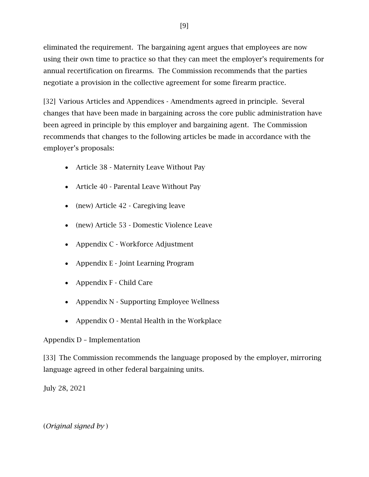eliminated the requirement. The bargaining agent argues that employees are now using their own time to practice so that they can meet the employer's requirements for annual recertification on firearms. The Commission recommends that the parties negotiate a provision in the collective agreement for some firearm practice.

[32] Various Articles and Appendices - Amendments agreed in principle. Several changes that have been made in bargaining across the core public administration have been agreed in principle by this employer and bargaining agent. The Commission recommends that changes to the following articles be made in accordance with the employer's proposals:

- Article 38 Maternity Leave Without Pay
- Article 40 Parental Leave Without Pay
- (new) Article 42 Caregiving leave
- (new) Article 53 Domestic Violence Leave
- Appendix C Workforce Adjustment
- Appendix E Joint Learning Program
- Appendix F Child Care
- Appendix N Supporting Employee Wellness
- Appendix O Mental Health in the Workplace

## Appendix D – Implementation

[33] The Commission recommends the language proposed by the employer, mirroring language agreed in other federal bargaining units.

July 28, 2021

## (*Original signed by* )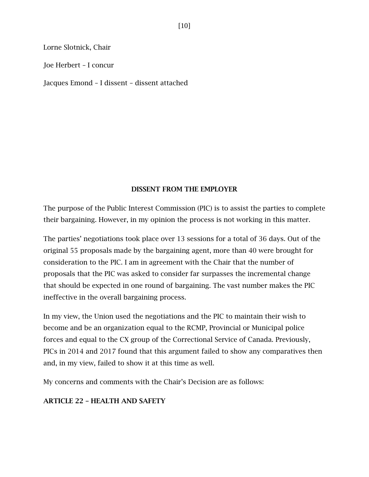Lorne Slotnick, Chair

Joe Herbert – I concur

Jacques Emond – I dissent – dissent attached

#### DISSENT FROM THE EMPLOYER

The purpose of the Public Interest Commission (PIC) is to assist the parties to complete their bargaining. However, in my opinion the process is not working in this matter.

The parties' negotiations took place over 13 sessions for a total of 36 days. Out of the original 55 proposals made by the bargaining agent, more than 40 were brought for consideration to the PIC. I am in agreement with the Chair that the number of proposals that the PIC was asked to consider far surpasses the incremental change that should be expected in one round of bargaining. The vast number makes the PIC ineffective in the overall bargaining process.

In my view, the Union used the negotiations and the PIC to maintain their wish to become and be an organization equal to the RCMP, Provincial or Municipal police forces and equal to the CX group of the Correctional Service of Canada. Previously, PICs in 2014 and 2017 found that this argument failed to show any comparatives then and, in my view, failed to show it at this time as well.

My concerns and comments with the Chair's Decision are as follows:

#### ARTICLE 22 – HEALTH AND SAFETY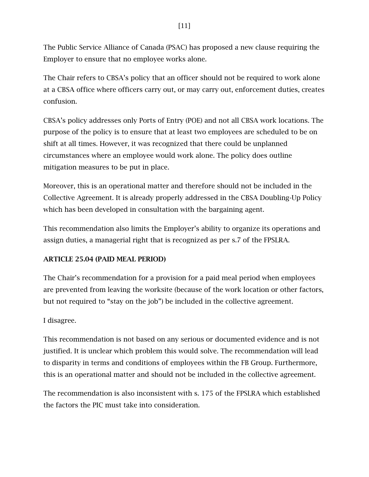The Public Service Alliance of Canada (PSAC) has proposed a new clause requiring the Employer to ensure that no employee works alone.

The Chair refers to CBSA's policy that an officer should not be required to work alone at a CBSA office where officers carry out, or may carry out, enforcement duties, creates confusion.

CBSA's policy addresses only Ports of Entry (POE) and not all CBSA work locations. The purpose of the policy is to ensure that at least two employees are scheduled to be on shift at all times. However, it was recognized that there could be unplanned circumstances where an employee would work alone. The policy does outline mitigation measures to be put in place.

Moreover, this is an operational matter and therefore should not be included in the Collective Agreement. It is already properly addressed in the CBSA Doubling-Up Policy which has been developed in consultation with the bargaining agent.

This recommendation also limits the Employer's ability to organize its operations and assign duties, a managerial right that is recognized as per s.7 of the FPSLRA.

## ARTICLE 25.04 (PAID MEAL PERIOD)

The Chair's recommendation for a provision for a paid meal period when employees are prevented from leaving the worksite (because of the work location or other factors, but not required to "stay on the job") be included in the collective agreement.

## I disagree.

This recommendation is not based on any serious or documented evidence and is not justified. It is unclear which problem this would solve. The recommendation will lead to disparity in terms and conditions of employees within the FB Group. Furthermore, this is an operational matter and should not be included in the collective agreement.

The recommendation is also inconsistent with s. 175 of the FPSLRA which established the factors the PIC must take into consideration.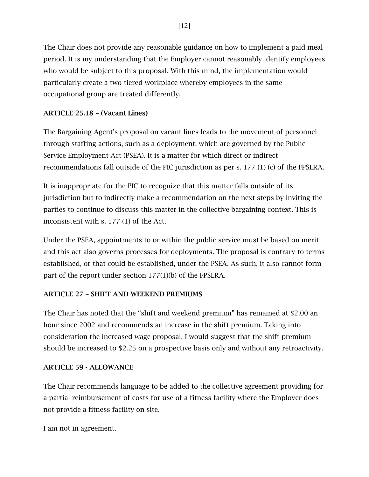The Chair does not provide any reasonable guidance on how to implement a paid meal period. It is my understanding that the Employer cannot reasonably identify employees who would be subject to this proposal. With this mind, the implementation would particularly create a two-tiered workplace whereby employees in the same occupational group are treated differently.

# ARTICLE 25.18 – (Vacant Lines)

The Bargaining Agent's proposal on vacant lines leads to the movement of personnel through staffing actions, such as a deployment, which are governed by the Public Service Employment Act (PSEA). It is a matter for which direct or indirect recommendations fall outside of the PIC jurisdiction as per s. 177 (1) (c) of the FPSLRA.

It is inappropriate for the PIC to recognize that this matter falls outside of its jurisdiction but to indirectly make a recommendation on the next steps by inviting the parties to continue to discuss this matter in the collective bargaining context. This is inconsistent with s. 177 (1) of the Act.

Under the PSEA, appointments to or within the public service must be based on merit and this act also governs processes for deployments. The proposal is contrary to terms established, or that could be established, under the PSEA. As such, it also cannot form part of the report under section 177(1)(b) of the FPSLRA.

## ARTICLE 27 – SHIFT AND WEEKEND PREMIUMS

The Chair has noted that the "shift and weekend premium" has remained at \$2.00 an hour since 2002 and recommends an increase in the shift premium. Taking into consideration the increased wage proposal, I would suggest that the shift premium should be increased to \$2.25 on a prospective basis only and without any retroactivity.

## ARTICLE 59 - ALLOWANCE

The Chair recommends language to be added to the collective agreement providing for a partial reimbursement of costs for use of a fitness facility where the Employer does not provide a fitness facility on site.

I am not in agreement.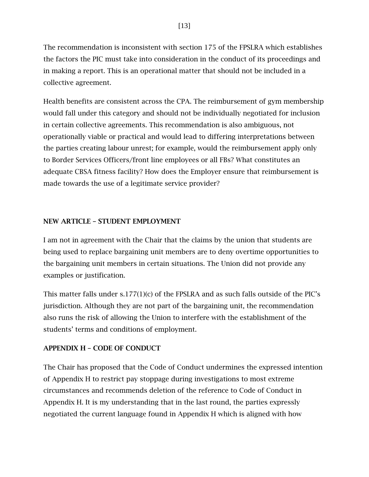The recommendation is inconsistent with section 175 of the FPSLRA which establishes the factors the PIC must take into consideration in the conduct of its proceedings and in making a report. This is an operational matter that should not be included in a collective agreement.

Health benefits are consistent across the CPA. The reimbursement of gym membership would fall under this category and should not be individually negotiated for inclusion in certain collective agreements. This recommendation is also ambiguous, not operationally viable or practical and would lead to differing interpretations between the parties creating labour unrest; for example, would the reimbursement apply only to Border Services Officers/front line employees or all FBs? What constitutes an adequate CBSA fitness facility? How does the Employer ensure that reimbursement is made towards the use of a legitimate service provider?

#### NEW ARTICLE – STUDENT EMPLOYMENT

I am not in agreement with the Chair that the claims by the union that students are being used to replace bargaining unit members are to deny overtime opportunities to the bargaining unit members in certain situations. The Union did not provide any examples or justification.

This matter falls under s.177(1)(c) of the FPSLRA and as such falls outside of the PIC's jurisdiction. Although they are not part of the bargaining unit, the recommendation also runs the risk of allowing the Union to interfere with the establishment of the students' terms and conditions of employment.

#### APPENDIX H – CODE OF CONDUCT

The Chair has proposed that the Code of Conduct undermines the expressed intention of Appendix H to restrict pay stoppage during investigations to most extreme circumstances and recommends deletion of the reference to Code of Conduct in Appendix H. It is my understanding that in the last round, the parties expressly negotiated the current language found in Appendix H which is aligned with how